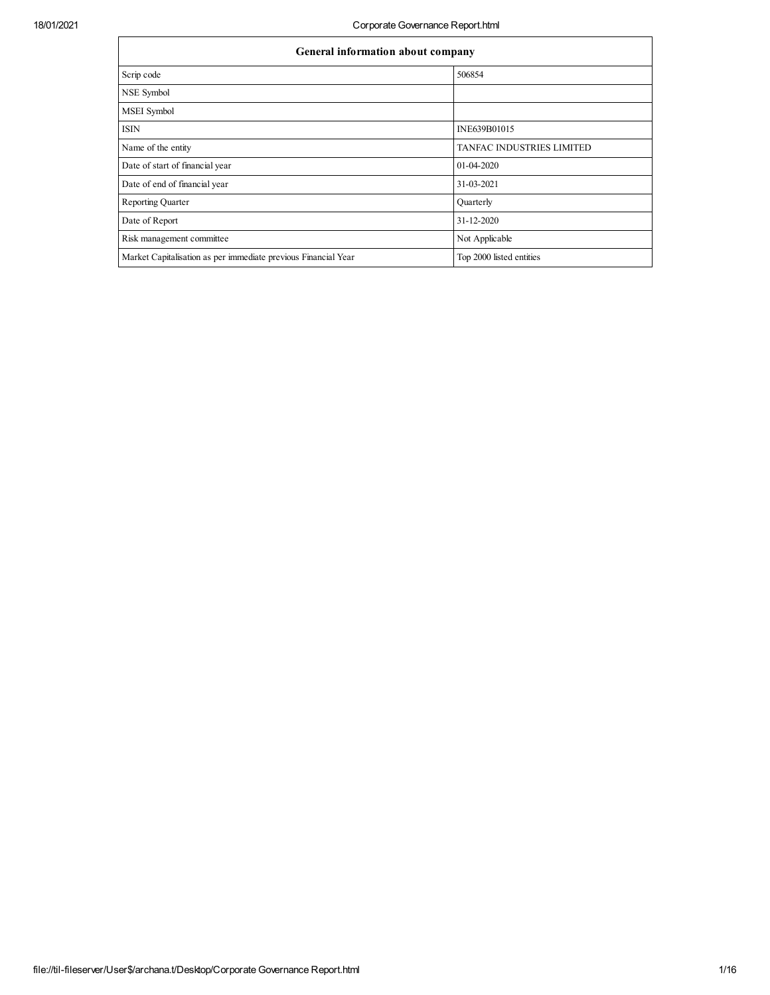| General information about company                              |                           |  |  |  |  |  |  |  |
|----------------------------------------------------------------|---------------------------|--|--|--|--|--|--|--|
| Scrip code                                                     | 506854                    |  |  |  |  |  |  |  |
| NSE Symbol                                                     |                           |  |  |  |  |  |  |  |
| <b>MSEI</b> Symbol                                             |                           |  |  |  |  |  |  |  |
| <b>ISIN</b>                                                    | INE639B01015              |  |  |  |  |  |  |  |
| Name of the entity                                             | TANFAC INDUSTRIES LIMITED |  |  |  |  |  |  |  |
| Date of start of financial year                                | $01-04-2020$              |  |  |  |  |  |  |  |
| Date of end of financial year                                  | 31-03-2021                |  |  |  |  |  |  |  |
| <b>Reporting Quarter</b>                                       | Quarterly                 |  |  |  |  |  |  |  |
| Date of Report                                                 | 31-12-2020                |  |  |  |  |  |  |  |
| Risk management committee                                      | Not Applicable            |  |  |  |  |  |  |  |
| Market Capitalisation as per immediate previous Financial Year | Top 2000 listed entities  |  |  |  |  |  |  |  |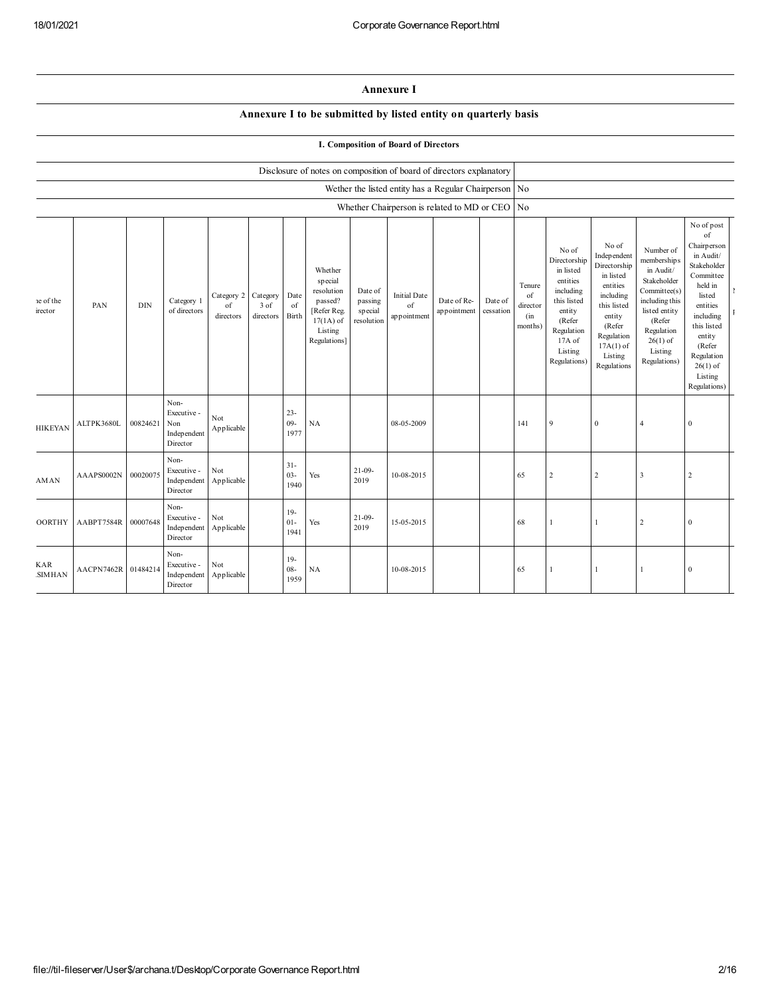| <b>Annexure I</b> |  |
|-------------------|--|
|-------------------|--|

## **Annexure I to be submitted by listed entity on quarterly basis**

**I. Composition of Board of Directors**

|                      |                     |            |                                                       |                               |                                 |                          |                                                                                                      |                                             |                                          | Disclosure of notes on composition of board of directors explanatory |                      |                                            |                                                                                                                                                   |                                                                                                                                                                      |                                                                                                                                                                           |                                                                                                                                                                                                                  |  |
|----------------------|---------------------|------------|-------------------------------------------------------|-------------------------------|---------------------------------|--------------------------|------------------------------------------------------------------------------------------------------|---------------------------------------------|------------------------------------------|----------------------------------------------------------------------|----------------------|--------------------------------------------|---------------------------------------------------------------------------------------------------------------------------------------------------|----------------------------------------------------------------------------------------------------------------------------------------------------------------------|---------------------------------------------------------------------------------------------------------------------------------------------------------------------------|------------------------------------------------------------------------------------------------------------------------------------------------------------------------------------------------------------------|--|
|                      |                     |            |                                                       |                               |                                 |                          |                                                                                                      |                                             |                                          | Wether the listed entity has a Regular Chairperson No                |                      |                                            |                                                                                                                                                   |                                                                                                                                                                      |                                                                                                                                                                           |                                                                                                                                                                                                                  |  |
|                      |                     |            |                                                       |                               |                                 |                          |                                                                                                      |                                             |                                          | Whether Chairperson is related to MD or CEO No                       |                      |                                            |                                                                                                                                                   |                                                                                                                                                                      |                                                                                                                                                                           |                                                                                                                                                                                                                  |  |
| e of the<br>irector  | PAN                 | <b>DIN</b> | Category 1<br>of directors                            | Category 2<br>of<br>directors | Category<br>$3$ of<br>directors | Date<br>of<br>Birth      | Whether<br>special<br>resolution<br>passed?<br>[Refer Reg.<br>$17(1A)$ of<br>Listing<br>Regulations] | Date of<br>passing<br>special<br>resolution | <b>Initial Date</b><br>of<br>appointment | Date of Re-<br>appointment                                           | Date of<br>cessation | Tenure<br>of<br>director<br>(in<br>months) | No of<br>Directorship<br>in listed<br>entities<br>including<br>this listed<br>entity<br>(Refer<br>Regulation<br>17A of<br>Listing<br>Regulations) | No of<br>Independent<br>Directorship<br>in listed<br>entities<br>including<br>this listed<br>entity<br>(Refer<br>Regulation<br>$17A(1)$ of<br>Listing<br>Regulations | Number of<br>membership s<br>in Audit/<br>Stakeholder<br>Committee(s)<br>including this<br>listed entity<br>(Refer<br>Regulation<br>$26(1)$ of<br>Listing<br>Regulations) | No of post<br>of<br>Chairperson<br>in Audit/<br>Stakeholder<br>Committee<br>held in<br>listed<br>entities<br>including<br>this listed<br>entity<br>(Refer<br>Regulation<br>$26(1)$ of<br>Listing<br>Regulations) |  |
| <b>HIKEYAN</b>       | ALTPK3680L          | 00824621   | Non-<br>Executive -<br>Non<br>Independent<br>Director | Not<br>Applicable             |                                 | $23 -$<br>$09 -$<br>1977 | NA                                                                                                   |                                             | 08-05-2009                               |                                                                      |                      | 141                                        | $\mathbf{Q}$                                                                                                                                      | $\bf{0}$                                                                                                                                                             | $\overline{4}$                                                                                                                                                            | $\mathbf{0}$                                                                                                                                                                                                     |  |
| <b>AMAN</b>          | AAAPS0002N          | 00020075   | Non-<br>Executive -<br>Independent<br>Director        | Not<br>Applicable             |                                 | $31 -$<br>$03 -$<br>1940 | Yes                                                                                                  | $21 - 09 -$<br>2019                         | 10-08-2015                               |                                                                      |                      | 65                                         | $\overline{2}$                                                                                                                                    | $\overline{c}$                                                                                                                                                       | $\overline{\mathbf{3}}$                                                                                                                                                   | $\overline{c}$                                                                                                                                                                                                   |  |
| <b>OORTHY</b>        | AABPT7584R          | 00007648   | Non-<br>Executive -<br>Independent<br>Director        | Not<br>Applicable             |                                 | $19-$<br>$01-$<br>1941   | Yes                                                                                                  | $21 - 09 -$<br>2019                         | 15-05-2015                               |                                                                      |                      | 68                                         |                                                                                                                                                   | -1                                                                                                                                                                   | $\overline{2}$                                                                                                                                                            | $\bf{0}$                                                                                                                                                                                                         |  |
| <b>KAR</b><br>SIMHAN | AACPN7462R 01484214 |            | Non-<br>Executive -<br>Independent<br>Director        | Not<br>Applicable             |                                 | $19-$<br>$08 -$<br>1959  | NA                                                                                                   |                                             | 10-08-2015                               |                                                                      |                      | 65                                         |                                                                                                                                                   |                                                                                                                                                                      |                                                                                                                                                                           | $\boldsymbol{0}$                                                                                                                                                                                                 |  |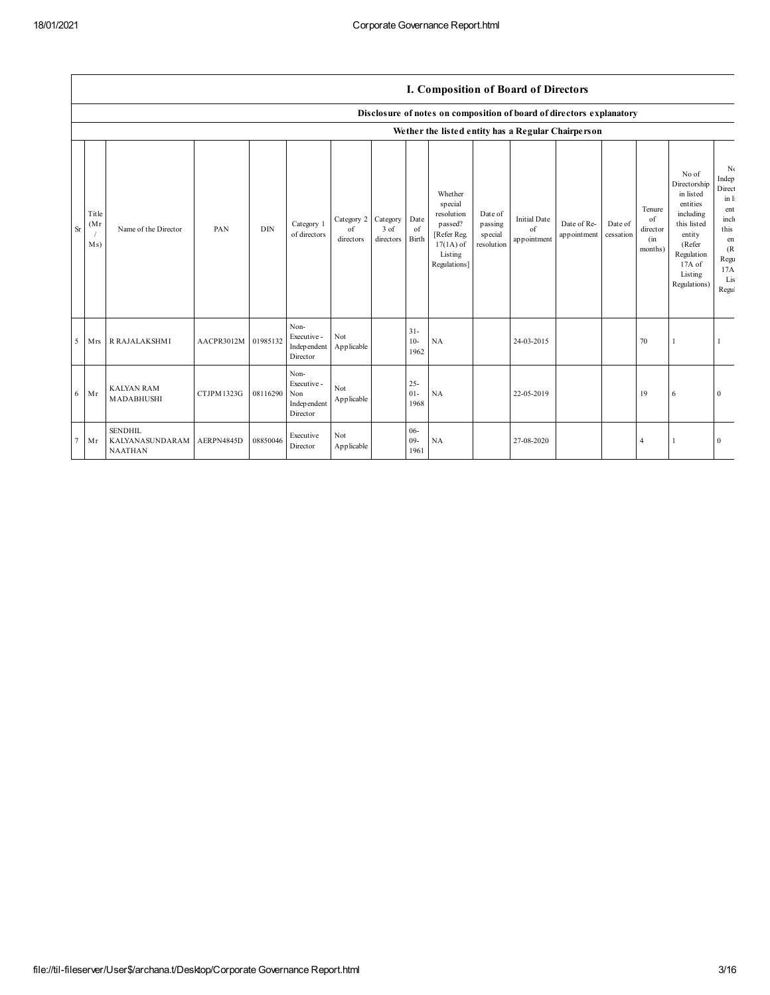|        |                      |                                                     |            |            |                                                        |                               |                                     |                          |                                                                                                      |                                             |                                          | Disclosure of notes on composition of board of directors explanatory |                      |                                            |                                                                                                                                                   |                                                                                                   |
|--------|----------------------|-----------------------------------------------------|------------|------------|--------------------------------------------------------|-------------------------------|-------------------------------------|--------------------------|------------------------------------------------------------------------------------------------------|---------------------------------------------|------------------------------------------|----------------------------------------------------------------------|----------------------|--------------------------------------------|---------------------------------------------------------------------------------------------------------------------------------------------------|---------------------------------------------------------------------------------------------------|
|        |                      |                                                     |            |            |                                                        |                               |                                     |                          |                                                                                                      |                                             |                                          | We ther the listed entity has a Regular Chairperson                  |                      |                                            |                                                                                                                                                   |                                                                                                   |
| Sr     | Title<br>(Mr)<br>Ms) | Name of the Director                                | PAN        | <b>DIN</b> | Category 1<br>of directors                             | Category 2<br>of<br>directors | Category<br>3 of<br>directors Birth | Date<br>of               | Whether<br>special<br>resolution<br>passed?<br>[Refer Reg.<br>$17(1A)$ of<br>Listing<br>Regulations] | Date of<br>passing<br>special<br>resolution | <b>Initial Date</b><br>of<br>appointment | Date of Re-<br>appointment                                           | Date of<br>cessation | Tenure<br>of<br>director<br>(in<br>months) | No of<br>Directorship<br>in listed<br>entities<br>including<br>this listed<br>entity<br>(Refer<br>Regulation<br>17A of<br>Listing<br>Regulations) | Nα<br>Indep<br>Direct<br>in li<br>ent<br>inch<br>this<br>en<br>(R)<br>Regu<br>17A<br>Lis<br>Regul |
| 5      | <b>Mrs</b>           | <b>R RAJALAKSHMI</b>                                | AACPR3012M | 01985132   | Non-<br>Executive -<br>Indep endent<br>Director        | Not<br>Applicable             |                                     | $31 -$<br>$10-$<br>1962  | NA                                                                                                   |                                             | 24-03-2015                               |                                                                      |                      | 70                                         |                                                                                                                                                   |                                                                                                   |
| 6      | Mr                   | <b>KALYAN RAM</b><br>MADABHUSHI                     | CTJPM1323G | 08116290   | Non-<br>Executive -<br>Non<br>Indep endent<br>Director | Not<br>Applicable             |                                     | $25 -$<br>$01 -$<br>1968 | NA                                                                                                   |                                             | 22-05-2019                               |                                                                      |                      | 19                                         | 6                                                                                                                                                 | $\theta$                                                                                          |
| $\tau$ | Mr                   | <b>SENDHIL</b><br>KALYANASUNDARAM<br><b>NAATHAN</b> | AERPN4845D | 08850046   | Executive<br>Director                                  | Not<br>Applicable             |                                     | $06 -$<br>$09 -$<br>1961 | NA                                                                                                   |                                             | 27-08-2020                               |                                                                      |                      | 4                                          |                                                                                                                                                   | $\Omega$                                                                                          |

## **I. Composition of Board of Directors**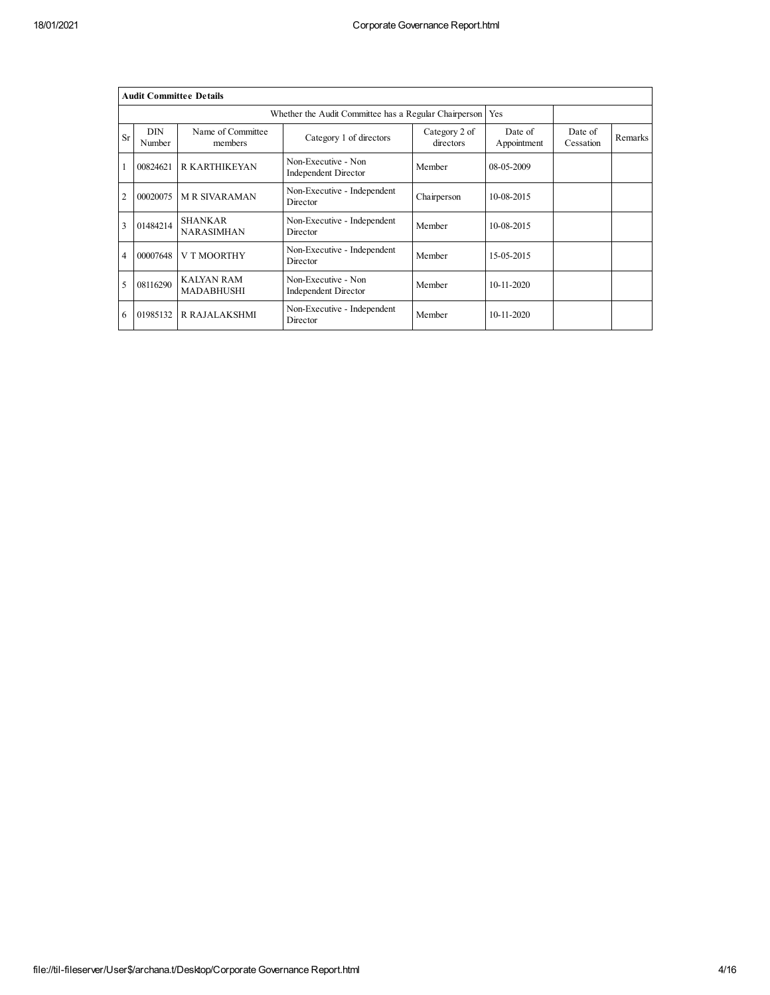|                | <b>Audit Committee Details</b> |                                     |                                                       |                            |                        |                      |         |  |  |  |  |  |
|----------------|--------------------------------|-------------------------------------|-------------------------------------------------------|----------------------------|------------------------|----------------------|---------|--|--|--|--|--|
|                |                                |                                     | Whether the Audit Committee has a Regular Chairperson |                            | Yes                    |                      |         |  |  |  |  |  |
| <b>Sr</b>      | <b>DIN</b><br>Number           | Name of Committee<br>members        | Category 1 of directors                               | Category 2 of<br>directors | Date of<br>Appointment | Date of<br>Cessation | Remarks |  |  |  |  |  |
|                | 00824621                       | <b>R KARTHIKEYAN</b>                | Non-Executive - Non<br><b>Independent Director</b>    | Member                     | 08-05-2009             |                      |         |  |  |  |  |  |
| $\overline{c}$ | 00020075                       | <b>MR SIVARAMAN</b>                 | Non-Executive - Independent<br>Director               | Chairperson                | 10-08-2015             |                      |         |  |  |  |  |  |
| 3              | 01484214                       | <b>SHANKAR</b><br><b>NARASIMHAN</b> | Non-Executive - Independent<br>Director               | Member                     | 10-08-2015             |                      |         |  |  |  |  |  |
| 4              | 00007648                       | <b>V T MOORTHY</b>                  | Non-Executive - Independent<br>Director               | Member                     | 15-05-2015             |                      |         |  |  |  |  |  |
| 5              | 08116290                       | KAIYAN RAM<br><b>MADABHUSHI</b>     | Non-Executive - Non<br><b>Independent Director</b>    | Member                     | 10-11-2020             |                      |         |  |  |  |  |  |
| 6              | 01985132                       | R RAJALAKSHMI                       | Non-Executive - Independent<br>Director               | Member                     | $10 - 11 - 2020$       |                      |         |  |  |  |  |  |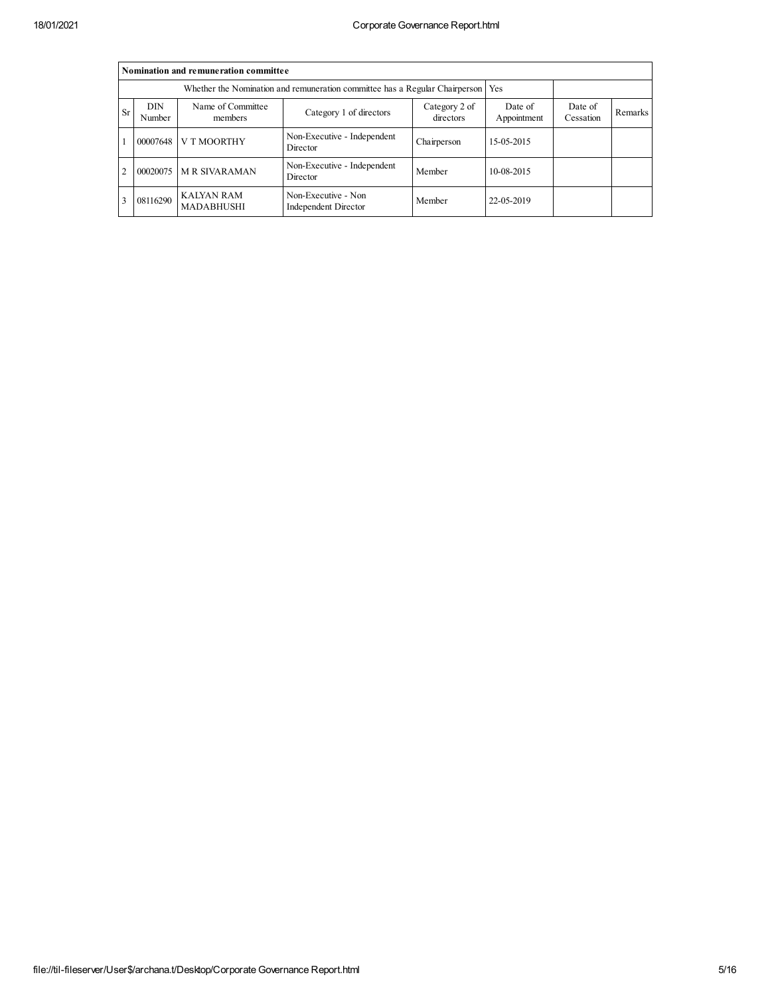|           | Nomination and remuneration committee |                                                                                   |                                             |                      |            |  |  |  |  |  |  |  |  |
|-----------|---------------------------------------|-----------------------------------------------------------------------------------|---------------------------------------------|----------------------|------------|--|--|--|--|--|--|--|--|
|           |                                       | Whether the Nomination and remuneration committee has a Regular Chairperson   Yes |                                             |                      |            |  |  |  |  |  |  |  |  |
| <b>Sr</b> | <b>DIN</b><br>Number                  | Name of Committee<br>members                                                      | Date of<br>Appointment                      | Date of<br>Cessation | Remarks    |  |  |  |  |  |  |  |  |
|           | 00007648                              | V T MOORTHY                                                                       | Non-Executive - Independent<br>Director     | Chairperson          | 15-05-2015 |  |  |  |  |  |  |  |  |
| 2         | 00020075                              | <b>M R SIVARAMAN</b>                                                              | Non-Executive - Independent<br>Director     | Member               | 10-08-2015 |  |  |  |  |  |  |  |  |
|           | 08116290                              | <b>KAIYAN RAM</b><br><b>MADABHUSHI</b>                                            | Non-Executive - Non<br>Independent Director | Member               | 22-05-2019 |  |  |  |  |  |  |  |  |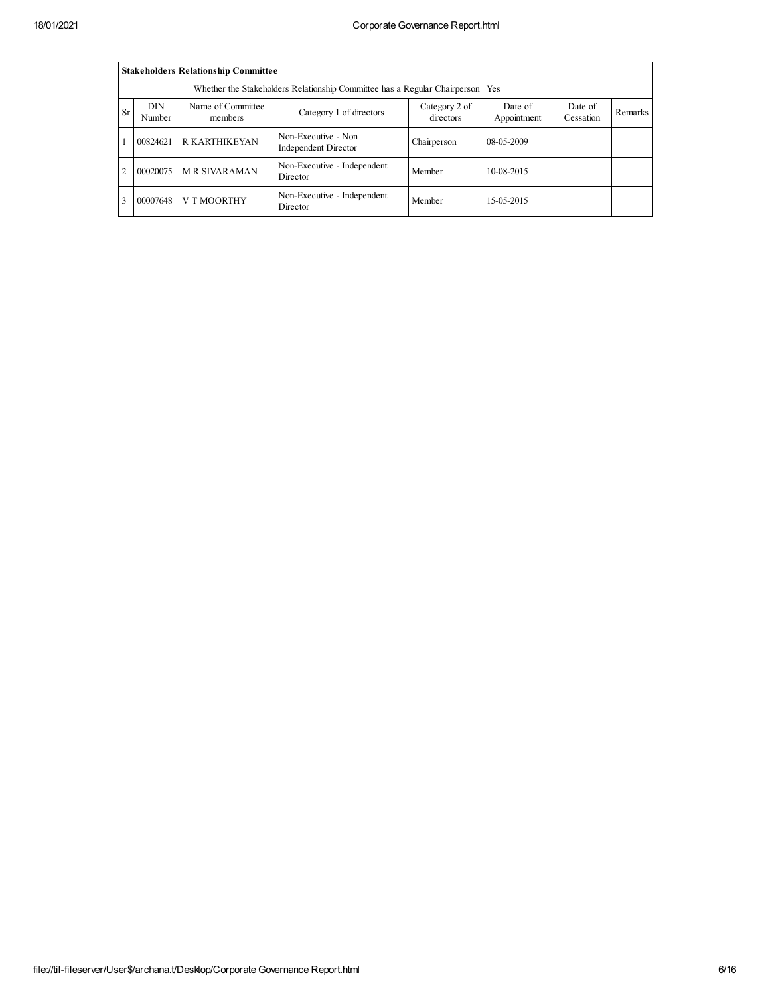|                                                                                                                                                                              | <b>Stakeholders Relationship Committee</b>                                      |                      |                                             |             |              |  |  |  |  |  |  |  |  |
|------------------------------------------------------------------------------------------------------------------------------------------------------------------------------|---------------------------------------------------------------------------------|----------------------|---------------------------------------------|-------------|--------------|--|--|--|--|--|--|--|--|
|                                                                                                                                                                              | Whether the Stakeholders Relationship Committee has a Regular Chairperson   Yes |                      |                                             |             |              |  |  |  |  |  |  |  |  |
| <b>DIN</b><br>Name of Committee<br>Date of<br>Category 2 of<br>Date of<br><b>Sr</b><br>Category 1 of directors<br>Number<br>directors<br>Appointment<br>Cessation<br>members |                                                                                 |                      |                                             |             |              |  |  |  |  |  |  |  |  |
|                                                                                                                                                                              | 00824621                                                                        | <b>R KARTHIKEYAN</b> | Non-Executive - Non<br>Independent Director | Chairperson | 08-05-2009   |  |  |  |  |  |  |  |  |
| 2                                                                                                                                                                            | 00020075                                                                        | <b>M R SIVARAMAN</b> | Non-Executive - Independent<br>Director     | Member      | $10-08-2015$ |  |  |  |  |  |  |  |  |
|                                                                                                                                                                              | 00007648                                                                        | V T MOORTHY          | Non-Executive - Independent<br>Director     | Member      | 15-05-2015   |  |  |  |  |  |  |  |  |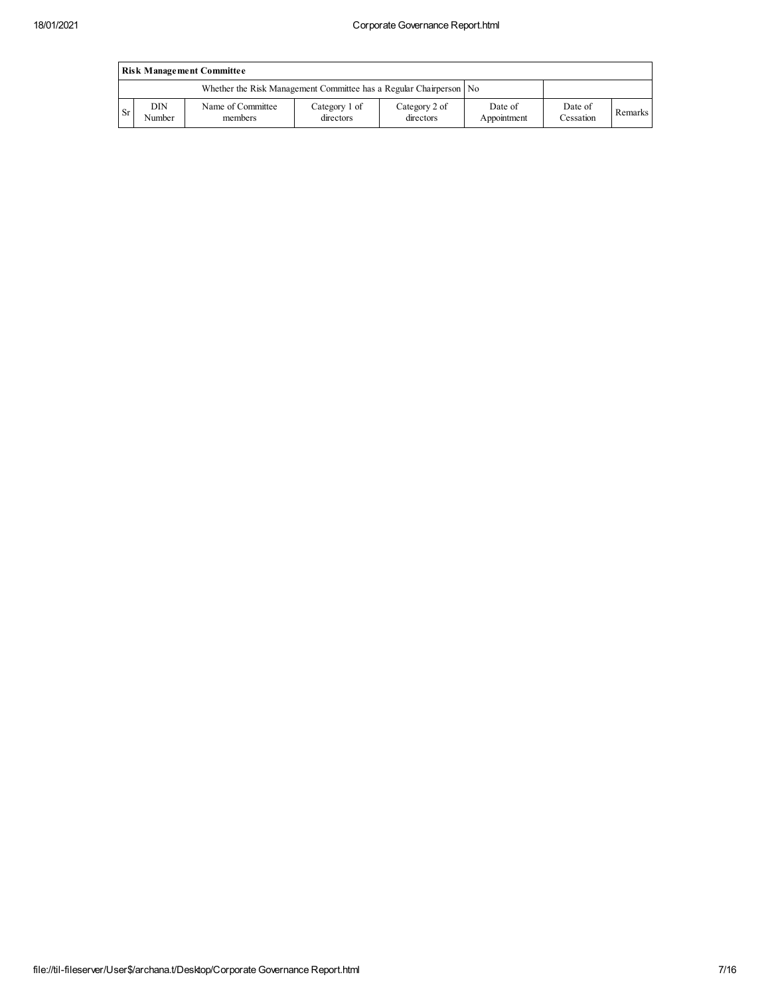|           | <b>Risk Management Committee</b> |                                                                    |                            |                            |                        |                      |         |  |  |  |  |  |
|-----------|----------------------------------|--------------------------------------------------------------------|----------------------------|----------------------------|------------------------|----------------------|---------|--|--|--|--|--|
|           |                                  | Whether the Risk Management Committee has a Regular Chairperson No |                            |                            |                        |                      |         |  |  |  |  |  |
| <b>Sr</b> | DIN<br>Number                    | Name of Committee<br>members                                       | Category 1 of<br>directors | Category 2 of<br>directors | Date of<br>Appointment | Date of<br>Cessation | Remarks |  |  |  |  |  |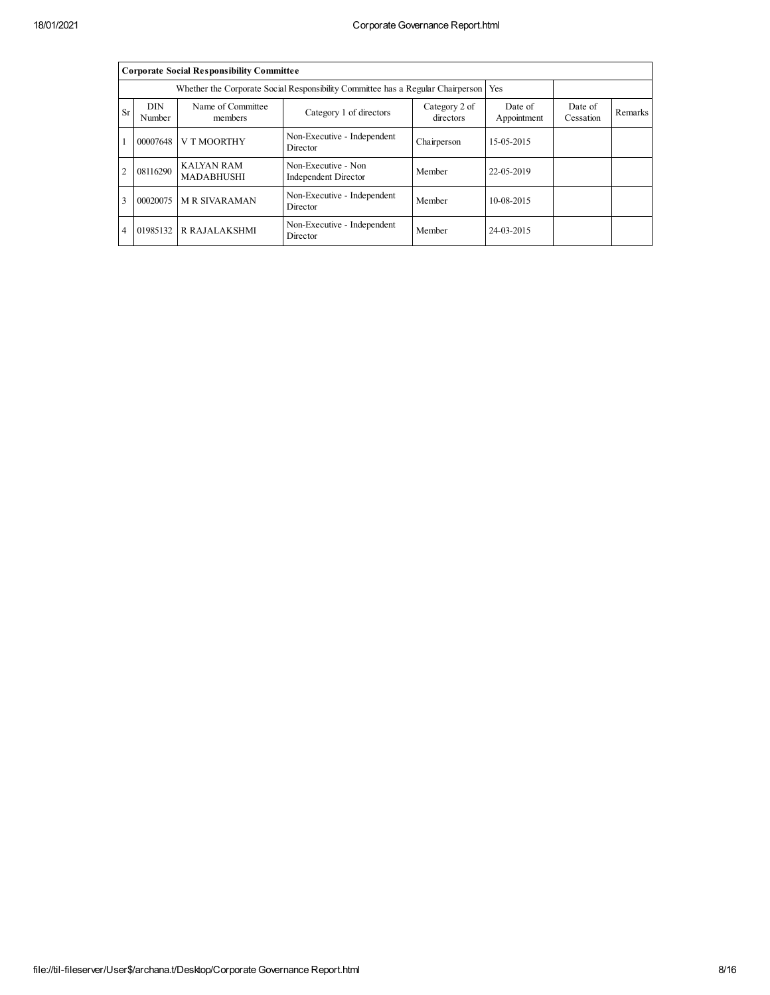|                | <b>Corporate Social Responsibility Committee</b> |                                                                                       |                                             |                            |                        |                      |                |  |  |  |  |  |
|----------------|--------------------------------------------------|---------------------------------------------------------------------------------------|---------------------------------------------|----------------------------|------------------------|----------------------|----------------|--|--|--|--|--|
|                |                                                  | Whether the Corporate Social Responsibility Committee has a Regular Chairperson   Yes |                                             |                            |                        |                      |                |  |  |  |  |  |
| <b>Sr</b>      | <b>DIN</b><br>Number                             | Name of Committee<br>members                                                          | Category 1 of directors                     | Category 2 of<br>directors | Date of<br>Appointment | Date of<br>Cessation | <b>Remarks</b> |  |  |  |  |  |
|                | 00007648                                         | V T MOORTHY                                                                           | Non-Executive - Independent<br>Director     | Chairperson                | 15-05-2015             |                      |                |  |  |  |  |  |
| $\overline{c}$ | 08116290                                         | <b>KAIYAN RAM</b><br><b>MADABHUSHI</b>                                                | Non-Executive - Non<br>Independent Director | Member                     | 22-05-2019             |                      |                |  |  |  |  |  |
| 3              | 00020075                                         |                                                                                       |                                             |                            |                        |                      |                |  |  |  |  |  |
| $\overline{4}$ | 01985132                                         | <b>R RAJALAKSHMI</b>                                                                  | Non-Executive - Independent<br>Director     | Member                     | 24-03-2015             |                      |                |  |  |  |  |  |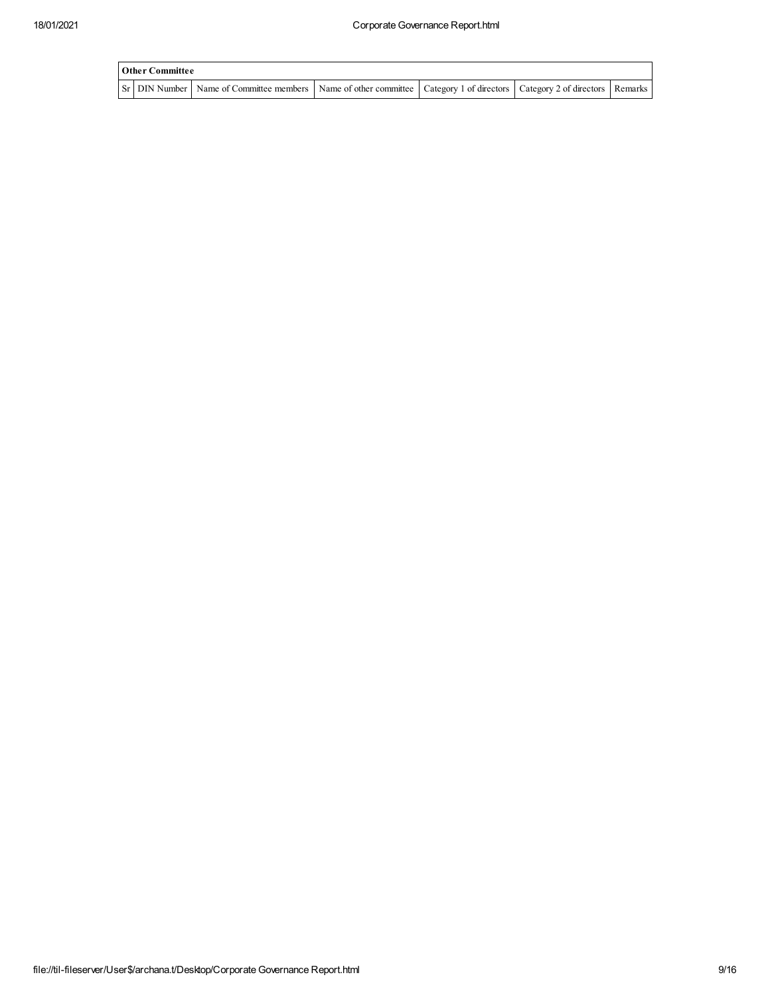| Other Committee |                                                                                                                                     |  |  |
|-----------------|-------------------------------------------------------------------------------------------------------------------------------------|--|--|
|                 | Sr   DIN Number   Name of Committee members   Name of other committee   Category 1 of directors   Category 2 of directors   Remarks |  |  |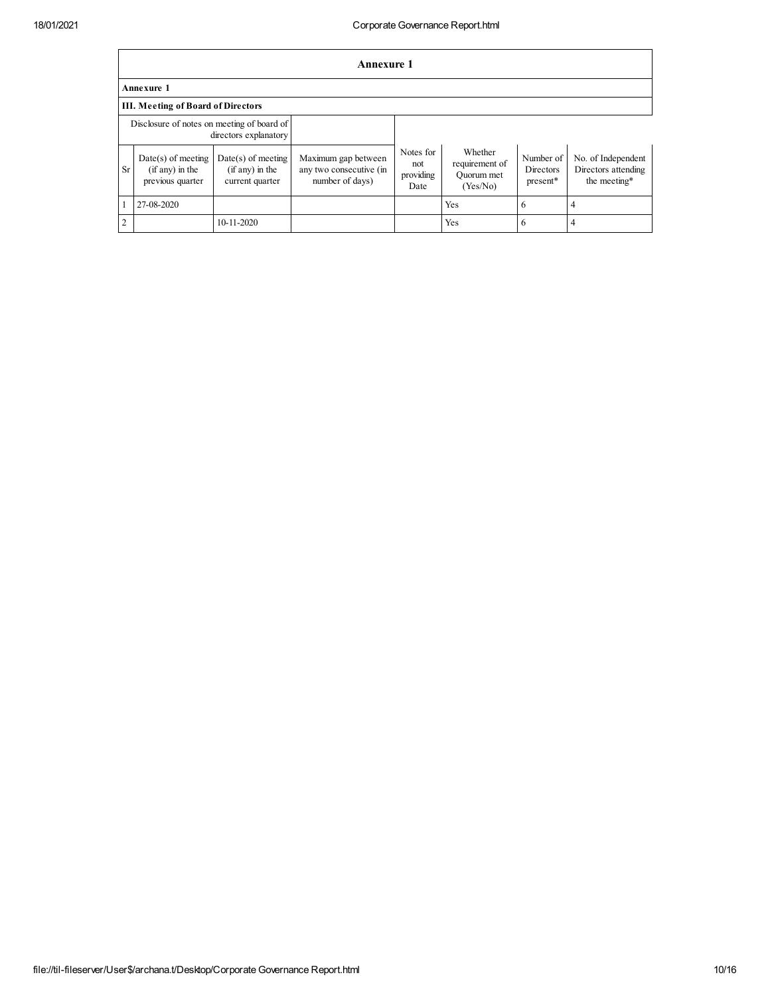|                | <b>Annexure 1</b>                                                   |                                                            |                                                                   |                                       |                                                     |                                    |                                                           |  |  |  |  |
|----------------|---------------------------------------------------------------------|------------------------------------------------------------|-------------------------------------------------------------------|---------------------------------------|-----------------------------------------------------|------------------------------------|-----------------------------------------------------------|--|--|--|--|
|                | <b>Annexure 1</b>                                                   |                                                            |                                                                   |                                       |                                                     |                                    |                                                           |  |  |  |  |
|                | <b>III.</b> Meeting of Board of Directors                           |                                                            |                                                                   |                                       |                                                     |                                    |                                                           |  |  |  |  |
|                | Disclosure of notes on meeting of board of<br>directors explanatory |                                                            |                                                                   |                                       |                                                     |                                    |                                                           |  |  |  |  |
| <b>Sr</b>      | $Date(s)$ of meeting<br>$(i$ f any) in the<br>previous quarter      | $Date(s)$ of meeting<br>(if any) in the<br>current quarter | Maximum gap between<br>any two consecutive (in<br>number of days) | Notes for<br>not<br>providing<br>Date | Whether<br>requirement of<br>Ouorum met<br>(Yes/No) | Number of<br>Directors<br>present* | No. of Independent<br>Directors attending<br>the meeting* |  |  |  |  |
|                | 27-08-2020                                                          |                                                            |                                                                   |                                       | Yes                                                 | 6                                  | 4                                                         |  |  |  |  |
| $\overline{2}$ |                                                                     | 10-11-2020                                                 |                                                                   |                                       | Yes                                                 | 6                                  | 4                                                         |  |  |  |  |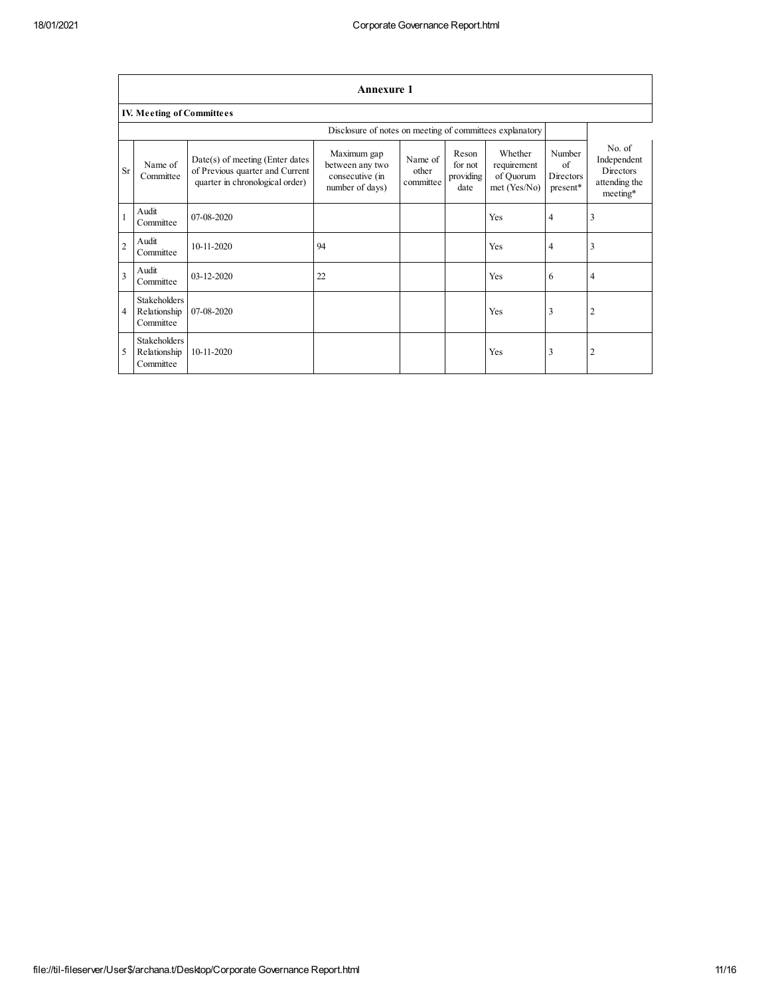|                | <b>Annexure 1</b>                                        |                                                                                                         |                                                                      |                               |                                       |                                                     |                                              |                                                                 |  |  |  |  |  |
|----------------|----------------------------------------------------------|---------------------------------------------------------------------------------------------------------|----------------------------------------------------------------------|-------------------------------|---------------------------------------|-----------------------------------------------------|----------------------------------------------|-----------------------------------------------------------------|--|--|--|--|--|
|                | <b>IV. Meeting of Committees</b>                         |                                                                                                         |                                                                      |                               |                                       |                                                     |                                              |                                                                 |  |  |  |  |  |
|                | Disclosure of notes on meeting of committees explanatory |                                                                                                         |                                                                      |                               |                                       |                                                     |                                              |                                                                 |  |  |  |  |  |
| <b>Sr</b>      | Name of<br>Committee                                     | $Date(s)$ of meeting (Enter dates<br>of Previous quarter and Current<br>quarter in chronological order) | Maximum gap<br>between any two<br>consecutive (in<br>number of days) | Name of<br>other<br>committee | Reson<br>for not<br>providing<br>date | Whether<br>requirement<br>of Quorum<br>met (Yes/No) | Number<br>of<br><b>Directors</b><br>present* | No. of<br>Independent<br>Directors<br>attending the<br>meeting* |  |  |  |  |  |
|                | Audit<br>Committee                                       | 07-08-2020                                                                                              |                                                                      |                               |                                       | Yes                                                 | 4                                            | 3                                                               |  |  |  |  |  |
| $\overline{2}$ | Audit<br>Committee                                       | 10-11-2020                                                                                              | 94                                                                   |                               |                                       | Yes                                                 | 4                                            | 3                                                               |  |  |  |  |  |
| 3              | Audit<br>Committee                                       | 03-12-2020                                                                                              | 22                                                                   |                               |                                       | Yes                                                 | 6                                            | $\overline{4}$                                                  |  |  |  |  |  |
| 4              | <b>Stakeholders</b><br>Relationship<br>Committee         | 07-08-2020                                                                                              |                                                                      |                               |                                       | Yes                                                 | 3                                            | $\overline{2}$                                                  |  |  |  |  |  |
| 5              | <b>Stakeholders</b><br>Relationship<br>Committee         | $10 - 11 - 2020$                                                                                        |                                                                      |                               |                                       | Yes                                                 | 3                                            | $\overline{2}$                                                  |  |  |  |  |  |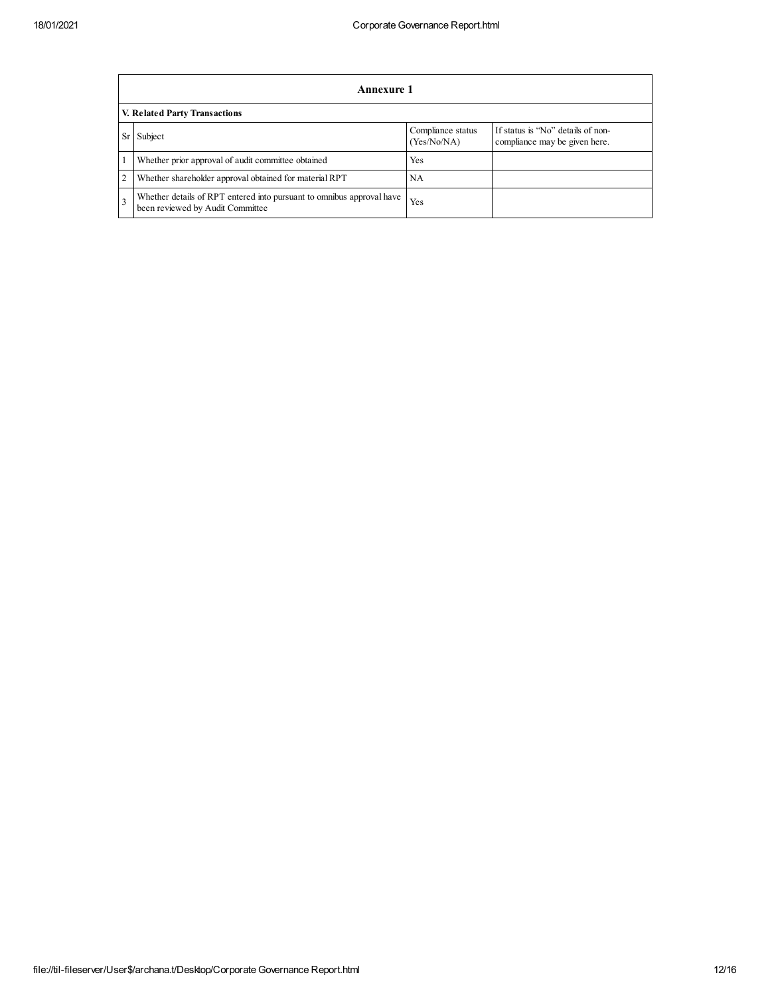|                               | Annexure 1                                                                                                |                                  |                                                                    |  |  |  |
|-------------------------------|-----------------------------------------------------------------------------------------------------------|----------------------------------|--------------------------------------------------------------------|--|--|--|
| V. Related Party Transactions |                                                                                                           |                                  |                                                                    |  |  |  |
| Sr                            | Subject                                                                                                   | Compliance status<br>(Yes/No/NA) | If status is "No" details of non-<br>compliance may be given here. |  |  |  |
|                               | Whether prior approval of audit committee obtained                                                        | Yes                              |                                                                    |  |  |  |
| 2                             | Whether shareholder approval obtained for material RPT                                                    | <b>NA</b>                        |                                                                    |  |  |  |
| 3                             | Whether details of RPT entered into pursuant to omnibus approval have<br>been reviewed by Audit Committee | Yes                              |                                                                    |  |  |  |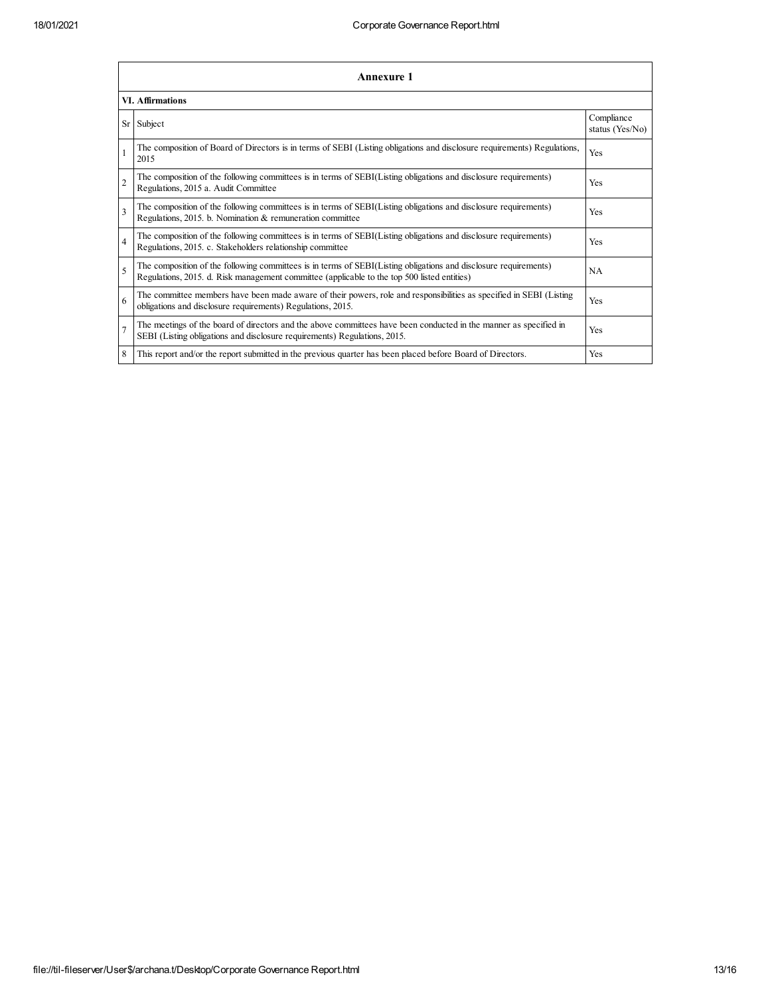|                | <b>Annexure 1</b>                                                                                                                                                                                               |                               |  |  |  |  |  |
|----------------|-----------------------------------------------------------------------------------------------------------------------------------------------------------------------------------------------------------------|-------------------------------|--|--|--|--|--|
|                | <b>VI. Affirmations</b>                                                                                                                                                                                         |                               |  |  |  |  |  |
|                | Sr Subject                                                                                                                                                                                                      | Compliance<br>status (Yes/No) |  |  |  |  |  |
|                | The composition of Board of Directors is in terms of SEBI (Listing obligations and disclosure requirements) Regulations,<br>2015                                                                                | Yes                           |  |  |  |  |  |
| $\overline{2}$ | The composition of the following committees is in terms of SEBI(Listing obligations and disclosure requirements)<br>Regulations, 2015 a. Audit Committee                                                        | Yes                           |  |  |  |  |  |
| $\overline{3}$ | The composition of the following committees is in terms of SEBI(Listing obligations and disclosure requirements)<br>Regulations, 2015. b. Nomination & remuneration committee                                   | Yes                           |  |  |  |  |  |
| $\overline{4}$ | The composition of the following committees is in terms of SEBI(Listing obligations and disclosure requirements)<br>Regulations, 2015. c. Stakeholders relationship committee                                   | Yes                           |  |  |  |  |  |
| 5              | The composition of the following committees is in terms of SEBI(Listing obligations and disclosure requirements)<br>Regulations, 2015. d. Risk management committee (applicable to the top 500 listed entities) | <b>NA</b>                     |  |  |  |  |  |
| 6              | The committee members have been made aware of their powers, role and responsibilities as specified in SEBI (Listing<br>obligations and disclosure requirements) Regulations, 2015.                              | Yes                           |  |  |  |  |  |
| $\overline{7}$ | The meetings of the board of directors and the above committees have been conducted in the manner as specified in<br>SEBI (Listing obligations and disclosure requirements) Regulations, 2015.                  | Yes                           |  |  |  |  |  |
| 8              | This report and/or the report submitted in the previous quarter has been placed before Board of Directors.                                                                                                      | Yes                           |  |  |  |  |  |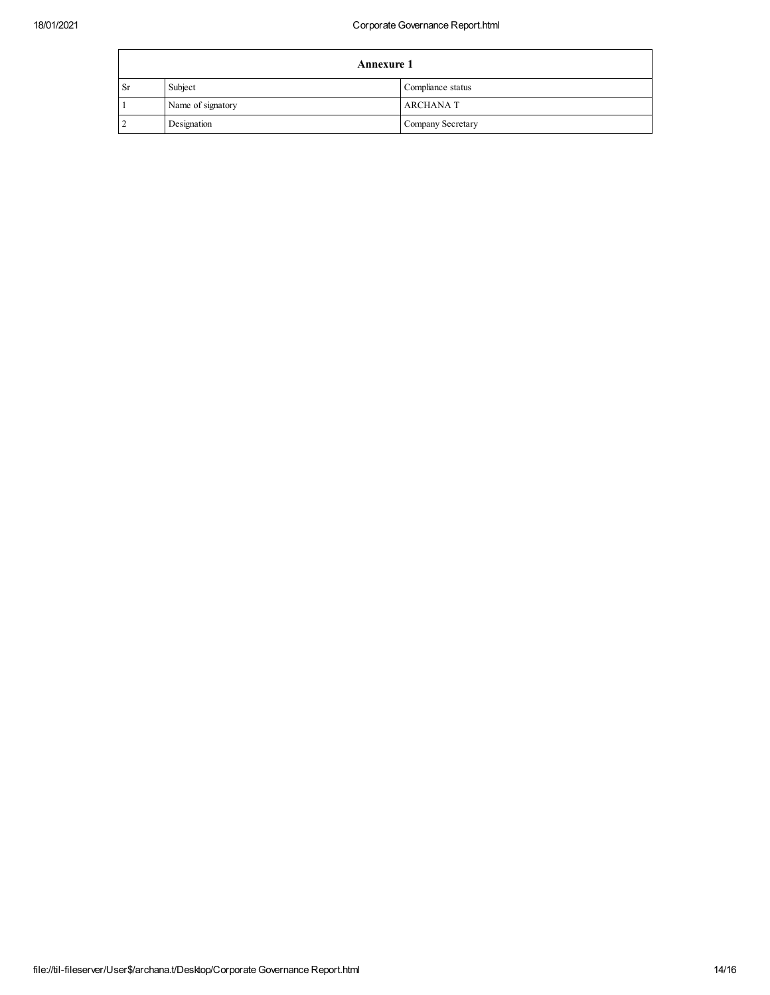| <b>Annexure 1</b> |                   |                   |  |
|-------------------|-------------------|-------------------|--|
| <sub>Sr</sub>     | Subject           | Compliance status |  |
|                   | Name of signatory | <b>ARCHANAT</b>   |  |
|                   | Designation       | Company Secretary |  |